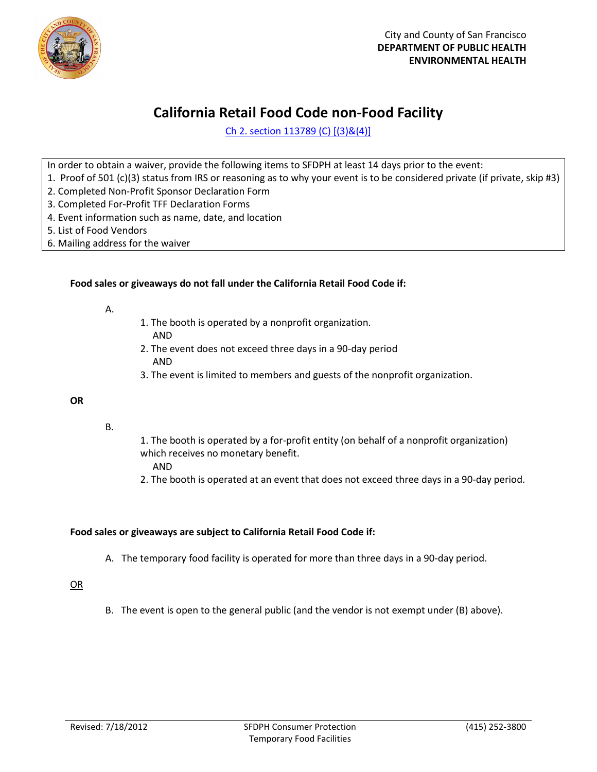

## **California Retail Food Code non-Food Facility**

Ch 2. section 113789 (C) [(3)&(4)]

In order to obtain a waiver, provide the following items to SFDPH at least 14 days prior to the event:

- 1. Proof of 501 (c)(3) status from IRS or reasoning as to why your event is to be considered private (if private, skip #3)
- 2. Completed Non-Profit Sponsor Declaration Form
- 3. Completed For-Profit TFF Declaration Forms
- 4. Event information such as name, date, and location
- 5. List of Food Vendors
- 6. Mailing address for the waiver

#### **Food sales or giveaways do not fall under the California Retail Food Code if:**

- A.
- 1. The booth is operated by a nonprofit organization.
- AND
- 2. The event does not exceed three days in a 90-day period AND
- 3. The event is limited to members and guests of the nonprofit organization.

#### **OR**

- B.
- 1. The booth is operated by a for-profit entity (on behalf of a nonprofit organization) which receives no monetary benefit.
	- AND
- 2. The booth is operated at an event that does not exceed three days in a 90-day period.

#### **Food sales or giveaways are subject to California Retail Food Code if:**

A. The temporary food facility is operated for more than three days in a 90-day period.

### OR

B. The event is open to the general public (and the vendor is not exempt under (B) above).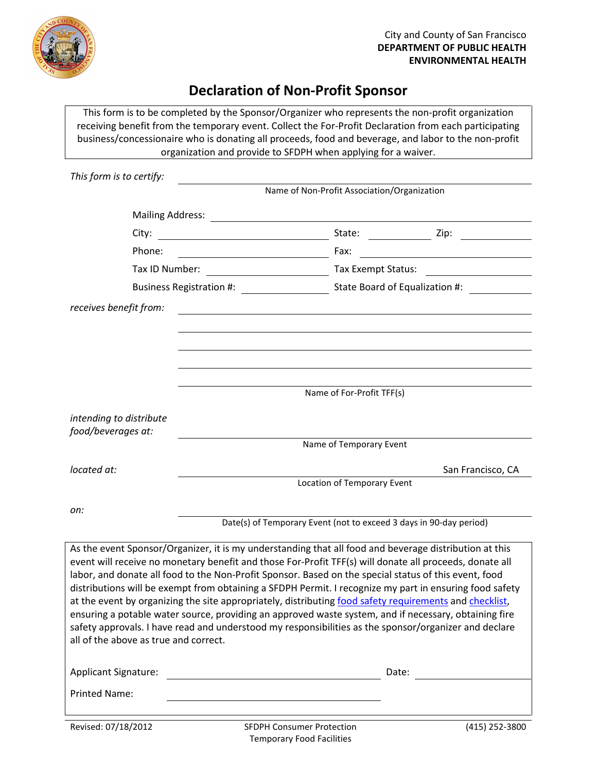

### **Declaration of Non-Profit Sponsor**

This form is to be completed by the Sponsor/Organizer who represents the non-profit organization receiving benefit from the temporary event. Collect the For-Profit Declaration from each participating business/concessionaire who is donating all proceeds, food and beverage, and labor to the non-profit organization and provide to SFDPH when applying for a waiver.

| This form is to certify:                      |                                                                                                                                                                                                                                                                                                                                                                                                                                                                                                                                                                                                                                                                                                                                                                    |                                             |                   |  |
|-----------------------------------------------|--------------------------------------------------------------------------------------------------------------------------------------------------------------------------------------------------------------------------------------------------------------------------------------------------------------------------------------------------------------------------------------------------------------------------------------------------------------------------------------------------------------------------------------------------------------------------------------------------------------------------------------------------------------------------------------------------------------------------------------------------------------------|---------------------------------------------|-------------------|--|
|                                               |                                                                                                                                                                                                                                                                                                                                                                                                                                                                                                                                                                                                                                                                                                                                                                    | Name of Non-Profit Association/Organization |                   |  |
| <b>Mailing Address:</b>                       |                                                                                                                                                                                                                                                                                                                                                                                                                                                                                                                                                                                                                                                                                                                                                                    |                                             |                   |  |
| City:                                         |                                                                                                                                                                                                                                                                                                                                                                                                                                                                                                                                                                                                                                                                                                                                                                    | State:                                      | Zip:              |  |
| Phone:                                        | <u> 1980 - Johann Barbara, martin a</u>                                                                                                                                                                                                                                                                                                                                                                                                                                                                                                                                                                                                                                                                                                                            | Fax:                                        |                   |  |
| Tax ID Number:                                |                                                                                                                                                                                                                                                                                                                                                                                                                                                                                                                                                                                                                                                                                                                                                                    | Tax Exempt Status:                          |                   |  |
| <b>Business Registration #:</b>               |                                                                                                                                                                                                                                                                                                                                                                                                                                                                                                                                                                                                                                                                                                                                                                    | State Board of Equalization #:              |                   |  |
| receives benefit from:                        |                                                                                                                                                                                                                                                                                                                                                                                                                                                                                                                                                                                                                                                                                                                                                                    |                                             |                   |  |
|                                               |                                                                                                                                                                                                                                                                                                                                                                                                                                                                                                                                                                                                                                                                                                                                                                    |                                             |                   |  |
|                                               |                                                                                                                                                                                                                                                                                                                                                                                                                                                                                                                                                                                                                                                                                                                                                                    |                                             |                   |  |
|                                               |                                                                                                                                                                                                                                                                                                                                                                                                                                                                                                                                                                                                                                                                                                                                                                    |                                             |                   |  |
|                                               | Name of For-Profit TFF(s)                                                                                                                                                                                                                                                                                                                                                                                                                                                                                                                                                                                                                                                                                                                                          |                                             |                   |  |
|                                               |                                                                                                                                                                                                                                                                                                                                                                                                                                                                                                                                                                                                                                                                                                                                                                    |                                             |                   |  |
| intending to distribute<br>food/beverages at: |                                                                                                                                                                                                                                                                                                                                                                                                                                                                                                                                                                                                                                                                                                                                                                    |                                             |                   |  |
|                                               |                                                                                                                                                                                                                                                                                                                                                                                                                                                                                                                                                                                                                                                                                                                                                                    | Name of Temporary Event                     |                   |  |
| located at:                                   |                                                                                                                                                                                                                                                                                                                                                                                                                                                                                                                                                                                                                                                                                                                                                                    |                                             | San Francisco, CA |  |
|                                               | Location of Temporary Event                                                                                                                                                                                                                                                                                                                                                                                                                                                                                                                                                                                                                                                                                                                                        |                                             |                   |  |
| on:                                           |                                                                                                                                                                                                                                                                                                                                                                                                                                                                                                                                                                                                                                                                                                                                                                    |                                             |                   |  |
|                                               | Date(s) of Temporary Event (not to exceed 3 days in 90-day period)                                                                                                                                                                                                                                                                                                                                                                                                                                                                                                                                                                                                                                                                                                 |                                             |                   |  |
| all of the above as true and correct.         | As the event Sponsor/Organizer, it is my understanding that all food and beverage distribution at this<br>event will receive no monetary benefit and those For-Profit TFF(s) will donate all proceeds, donate all<br>labor, and donate all food to the Non-Profit Sponsor. Based on the special status of this event, food<br>distributions will be exempt from obtaining a SFDPH Permit. I recognize my part in ensuring food safety<br>at the event by organizing the site appropriately, distributing food safety requirements and checklist,<br>ensuring a potable water source, providing an approved waste system, and if necessary, obtaining fire<br>safety approvals. I have read and understood my responsibilities as the sponsor/organizer and declare |                                             |                   |  |

| <b>Applicant Signature:</b> |                                  | Date:          |  |
|-----------------------------|----------------------------------|----------------|--|
| Printed Name:               |                                  |                |  |
| Revised: 07/18/2012         | <b>SFDPH Consumer Protection</b> | (415) 252-3800 |  |

Temporary Food Facilities